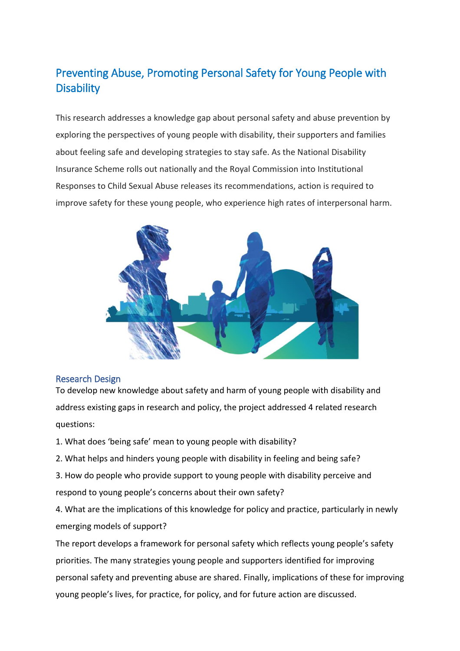## Preventing Abuse, Promoting Personal Safety for Young People with **Disability**

This research addresses a knowledge gap about personal safety and abuse prevention by exploring the perspectives of young people with disability, their supporters and families about feeling safe and developing strategies to stay safe. As the National Disability Insurance Scheme rolls out nationally and the Royal Commission into Institutional Responses to Child Sexual Abuse releases its recommendations, action is required to improve safety for these young people, who experience high rates of interpersonal harm.



## Research Design

To develop new knowledge about safety and harm of young people with disability and address existing gaps in research and policy, the project addressed 4 related research questions:

1. What does 'being safe' mean to young people with disability?

2. What helps and hinders young people with disability in feeling and being safe?

3. How do people who provide support to young people with disability perceive and respond to young people's concerns about their own safety?

4. What are the implications of this knowledge for policy and practice, particularly in newly emerging models of support?

The report develops a framework for personal safety which reflects young people's safety priorities. The many strategies young people and supporters identified for improving personal safety and preventing abuse are shared. Finally, implications of these for improving young people's lives, for practice, for policy, and for future action are discussed.